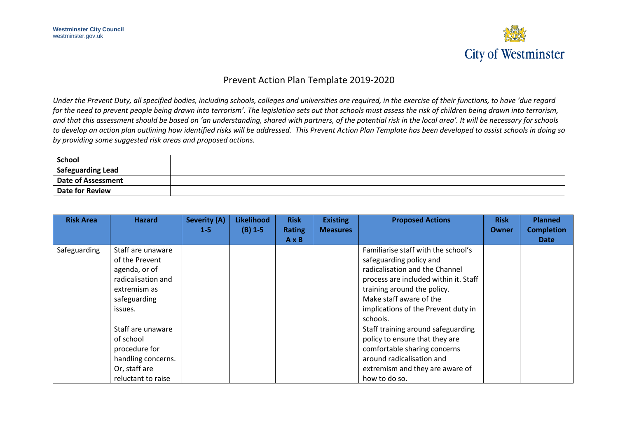

## Prevent Action Plan Template 2019-2020

Under the Prevent Duty, all specified bodies, including schools, colleges and universities are required, in the exercise of their functions, to have 'due regard *for the need to prevent people being drawn into terrorism'. The legislation sets out that schools must assess the risk of children being drawn into terrorism, and that this assessment should be based on 'an understanding, shared with partners, of the potential risk in the local area'. It will be necessary for schools to develop an action plan outlining how identified risks will be addressed. This Prevent Action Plan Template has been developed to assist schools in doing so by providing some suggested risk areas and proposed actions.*

| <b>School</b>             |  |
|---------------------------|--|
| <b>Safeguarding Lead</b>  |  |
| <b>Date of Assessment</b> |  |
| <b>Date for Review</b>    |  |

| <b>Risk Area</b> | <b>Hazard</b>      | <b>Severity (A)</b> | <b>Likelihood</b> | <b>Risk</b>   | <b>Existing</b> | <b>Proposed Actions</b>               | <b>Risk</b> | <b>Planned</b>    |
|------------------|--------------------|---------------------|-------------------|---------------|-----------------|---------------------------------------|-------------|-------------------|
|                  |                    | $1 - 5$             | $(B)$ 1-5         | <b>Rating</b> | <b>Measures</b> |                                       | Owner       | <b>Completion</b> |
|                  |                    |                     |                   | $A \times B$  |                 |                                       |             | <b>Date</b>       |
| Safeguarding     | Staff are unaware  |                     |                   |               |                 | Familiarise staff with the school's   |             |                   |
|                  | of the Prevent     |                     |                   |               |                 | safeguarding policy and               |             |                   |
|                  | agenda, or of      |                     |                   |               |                 | radicalisation and the Channel        |             |                   |
|                  | radicalisation and |                     |                   |               |                 | process are included within it. Staff |             |                   |
|                  | extremism as       |                     |                   |               |                 | training around the policy.           |             |                   |
|                  | safeguarding       |                     |                   |               |                 | Make staff aware of the               |             |                   |
|                  | issues.            |                     |                   |               |                 | implications of the Prevent duty in   |             |                   |
|                  |                    |                     |                   |               |                 | schools.                              |             |                   |
|                  | Staff are unaware  |                     |                   |               |                 | Staff training around safeguarding    |             |                   |
|                  | of school          |                     |                   |               |                 | policy to ensure that they are        |             |                   |
|                  | procedure for      |                     |                   |               |                 | comfortable sharing concerns          |             |                   |
|                  | handling concerns. |                     |                   |               |                 | around radicalisation and             |             |                   |
|                  | Or, staff are      |                     |                   |               |                 | extremism and they are aware of       |             |                   |
|                  | reluctant to raise |                     |                   |               |                 | how to do so.                         |             |                   |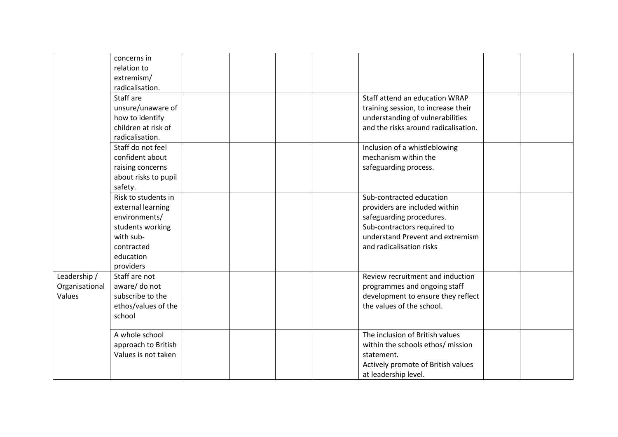|                                          | concerns in<br>relation to<br>extremism/<br>radicalisation.<br>Staff are<br>unsure/unaware of<br>how to identify<br>children at risk of<br>radicalisation. |  |  | Staff attend an education WRAP<br>training session, to increase their<br>understanding of vulnerabilities<br>and the risks around radicalisation.                                    |  |
|------------------------------------------|------------------------------------------------------------------------------------------------------------------------------------------------------------|--|--|--------------------------------------------------------------------------------------------------------------------------------------------------------------------------------------|--|
|                                          | Staff do not feel<br>confident about<br>raising concerns<br>about risks to pupil<br>safety.                                                                |  |  | Inclusion of a whistleblowing<br>mechanism within the<br>safeguarding process.                                                                                                       |  |
|                                          | Risk to students in<br>external learning<br>environments/<br>students working<br>with sub-<br>contracted<br>education<br>providers                         |  |  | Sub-contracted education<br>providers are included within<br>safeguarding procedures.<br>Sub-contractors required to<br>understand Prevent and extremism<br>and radicalisation risks |  |
| Leadership /<br>Organisational<br>Values | Staff are not<br>aware/ do not<br>subscribe to the<br>ethos/values of the<br>school                                                                        |  |  | Review recruitment and induction<br>programmes and ongoing staff<br>development to ensure they reflect<br>the values of the school.                                                  |  |
|                                          | A whole school<br>approach to British<br>Values is not taken                                                                                               |  |  | The inclusion of British values<br>within the schools ethos/ mission<br>statement.<br>Actively promote of British values<br>at leadership level.                                     |  |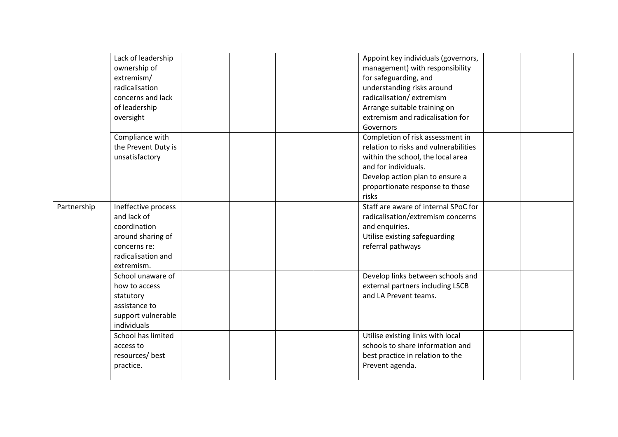|             | Lack of leadership<br>ownership of<br>extremism/<br>radicalisation<br>concerns and lack<br>of leadership<br>oversight       |  |  | Appoint key individuals (governors,<br>management) with responsibility<br>for safeguarding, and<br>understanding risks around<br>radicalisation/extremism<br>Arrange suitable training on<br>extremism and radicalisation for<br>Governors |  |
|-------------|-----------------------------------------------------------------------------------------------------------------------------|--|--|--------------------------------------------------------------------------------------------------------------------------------------------------------------------------------------------------------------------------------------------|--|
|             | Compliance with<br>the Prevent Duty is<br>unsatisfactory                                                                    |  |  | Completion of risk assessment in<br>relation to risks and vulnerabilities<br>within the school, the local area<br>and for individuals.<br>Develop action plan to ensure a<br>proportionate response to those<br>risks                      |  |
| Partnership | Ineffective process<br>and lack of<br>coordination<br>around sharing of<br>concerns re:<br>radicalisation and<br>extremism. |  |  | Staff are aware of internal SPoC for<br>radicalisation/extremism concerns<br>and enquiries.<br>Utilise existing safeguarding<br>referral pathways                                                                                          |  |
|             | School unaware of<br>how to access<br>statutory<br>assistance to<br>support vulnerable<br>individuals                       |  |  | Develop links between schools and<br>external partners including LSCB<br>and LA Prevent teams.                                                                                                                                             |  |
|             | School has limited<br>access to<br>resources/best<br>practice.                                                              |  |  | Utilise existing links with local<br>schools to share information and<br>best practice in relation to the<br>Prevent agenda.                                                                                                               |  |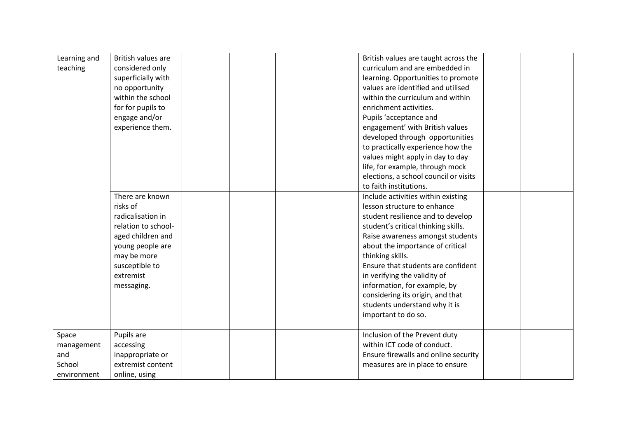| Learning and | British values are  |  | British values are taught across the  |  |
|--------------|---------------------|--|---------------------------------------|--|
| teaching     | considered only     |  | curriculum and are embedded in        |  |
|              | superficially with  |  | learning. Opportunities to promote    |  |
|              | no opportunity      |  | values are identified and utilised    |  |
|              | within the school   |  | within the curriculum and within      |  |
|              | for for pupils to   |  | enrichment activities.                |  |
|              | engage and/or       |  | Pupils 'acceptance and                |  |
|              | experience them.    |  | engagement' with British values       |  |
|              |                     |  | developed through opportunities       |  |
|              |                     |  | to practically experience how the     |  |
|              |                     |  | values might apply in day to day      |  |
|              |                     |  | life, for example, through mock       |  |
|              |                     |  | elections, a school council or visits |  |
|              |                     |  | to faith institutions.                |  |
|              | There are known     |  | Include activities within existing    |  |
| risks of     |                     |  | lesson structure to enhance           |  |
|              | radicalisation in   |  | student resilience and to develop     |  |
|              | relation to school- |  | student's critical thinking skills.   |  |
|              | aged children and   |  | Raise awareness amongst students      |  |
|              | young people are    |  | about the importance of critical      |  |
|              | may be more         |  | thinking skills.                      |  |
|              | susceptible to      |  | Ensure that students are confident    |  |
|              | extremist           |  | in verifying the validity of          |  |
|              | messaging.          |  | information, for example, by          |  |
|              |                     |  | considering its origin, and that      |  |
|              |                     |  | students understand why it is         |  |
|              |                     |  | important to do so.                   |  |
|              |                     |  |                                       |  |
| Space        | Pupils are          |  | Inclusion of the Prevent duty         |  |
| management   | accessing           |  | within ICT code of conduct.           |  |
| and          | inappropriate or    |  | Ensure firewalls and online security  |  |
| School       | extremist content   |  | measures are in place to ensure       |  |
| environment  | online, using       |  |                                       |  |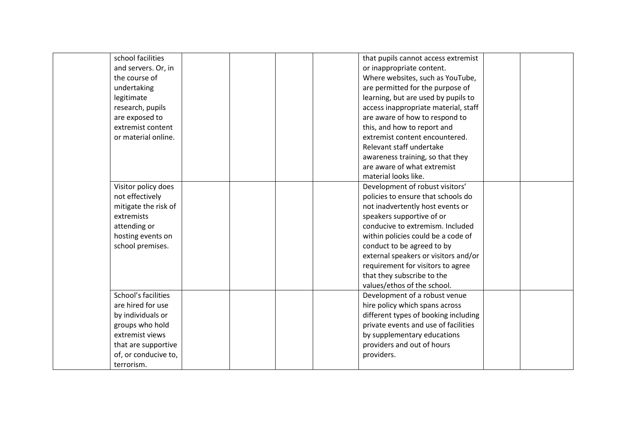| school facilities    | that pupils cannot access extremist  |  |
|----------------------|--------------------------------------|--|
| and servers. Or, in  | or inappropriate content.            |  |
| the course of        | Where websites, such as YouTube,     |  |
| undertaking          | are permitted for the purpose of     |  |
| legitimate           | learning, but are used by pupils to  |  |
| research, pupils     | access inappropriate material, staff |  |
| are exposed to       | are aware of how to respond to       |  |
| extremist content    | this, and how to report and          |  |
| or material online.  | extremist content encountered.       |  |
|                      | Relevant staff undertake             |  |
|                      | awareness training, so that they     |  |
|                      | are aware of what extremist          |  |
|                      | material looks like.                 |  |
| Visitor policy does  | Development of robust visitors'      |  |
| not effectively      | policies to ensure that schools do   |  |
| mitigate the risk of | not inadvertently host events or     |  |
| extremists           | speakers supportive of or            |  |
| attending or         | conducive to extremism. Included     |  |
| hosting events on    | within policies could be a code of   |  |
| school premises.     | conduct to be agreed to by           |  |
|                      | external speakers or visitors and/or |  |
|                      | requirement for visitors to agree    |  |
|                      | that they subscribe to the           |  |
|                      | values/ethos of the school.          |  |
| School's facilities  | Development of a robust venue        |  |
| are hired for use    | hire policy which spans across       |  |
| by individuals or    | different types of booking including |  |
| groups who hold      | private events and use of facilities |  |
| extremist views      | by supplementary educations          |  |
| that are supportive  | providers and out of hours           |  |
| of, or conducive to, | providers.                           |  |
| terrorism.           |                                      |  |